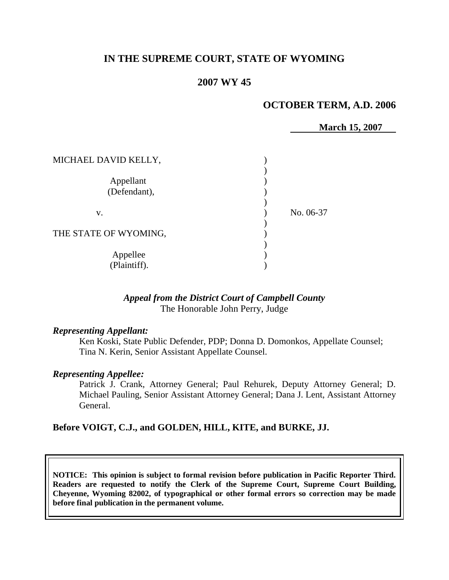## **IN THE SUPREME COURT, STATE OF WYOMING**

## **2007 WY 45**

#### **OCTOBER TERM, A.D. 2006**

**March 15, 2007**

| MICHAEL DAVID KELLY,      |           |
|---------------------------|-----------|
| Appellant<br>(Defendant), |           |
| V.                        | No. 06-37 |
| THE STATE OF WYOMING,     |           |
| Appellee<br>(Plaintiff).  |           |

#### *Appeal from the District Court of Campbell County* The Honorable John Perry, Judge

#### *Representing Appellant:*

Ken Koski, State Public Defender, PDP; Donna D. Domonkos, Appellate Counsel; Tina N. Kerin, Senior Assistant Appellate Counsel.

#### *Representing Appellee:*

Patrick J. Crank, Attorney General; Paul Rehurek, Deputy Attorney General; D. Michael Pauling, Senior Assistant Attorney General; Dana J. Lent, Assistant Attorney General.

#### **Before VOIGT, C.J., and GOLDEN, HILL, KITE, and BURKE, JJ.**

**NOTICE: This opinion is subject to formal revision before publication in Pacific Reporter Third. Readers are requested to notify the Clerk of the Supreme Court, Supreme Court Building, Cheyenne, Wyoming 82002, of typographical or other formal errors so correction may be made before final publication in the permanent volume.**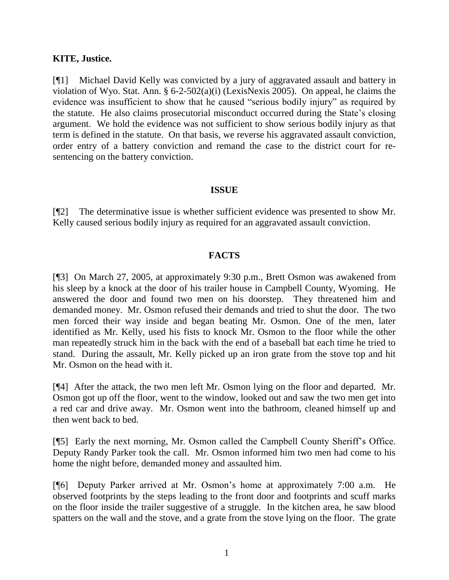#### **KITE, Justice.**

[¶1] Michael David Kelly was convicted by a jury of aggravated assault and battery in violation of Wyo. Stat. Ann. § 6-2-502(a)(i) (LexisNexis 2005). On appeal, he claims the evidence was insufficient to show that he caused "serious bodily injury" as required by the statute. He also claims prosecutorial misconduct occurred during the State"s closing argument. We hold the evidence was not sufficient to show serious bodily injury as that term is defined in the statute. On that basis, we reverse his aggravated assault conviction, order entry of a battery conviction and remand the case to the district court for resentencing on the battery conviction.

### **ISSUE**

[¶2] The determinative issue is whether sufficient evidence was presented to show Mr. Kelly caused serious bodily injury as required for an aggravated assault conviction.

## **FACTS**

[¶3] On March 27, 2005, at approximately 9:30 p.m., Brett Osmon was awakened from his sleep by a knock at the door of his trailer house in Campbell County, Wyoming. He answered the door and found two men on his doorstep. They threatened him and demanded money. Mr. Osmon refused their demands and tried to shut the door. The two men forced their way inside and began beating Mr. Osmon. One of the men, later identified as Mr. Kelly, used his fists to knock Mr. Osmon to the floor while the other man repeatedly struck him in the back with the end of a baseball bat each time he tried to stand. During the assault, Mr. Kelly picked up an iron grate from the stove top and hit Mr. Osmon on the head with it.

[¶4] After the attack, the two men left Mr. Osmon lying on the floor and departed. Mr. Osmon got up off the floor, went to the window, looked out and saw the two men get into a red car and drive away. Mr. Osmon went into the bathroom, cleaned himself up and then went back to bed.

[¶5] Early the next morning, Mr. Osmon called the Campbell County Sheriff"s Office. Deputy Randy Parker took the call. Mr. Osmon informed him two men had come to his home the night before, demanded money and assaulted him.

[¶6] Deputy Parker arrived at Mr. Osmon"s home at approximately 7:00 a.m. He observed footprints by the steps leading to the front door and footprints and scuff marks on the floor inside the trailer suggestive of a struggle. In the kitchen area, he saw blood spatters on the wall and the stove, and a grate from the stove lying on the floor. The grate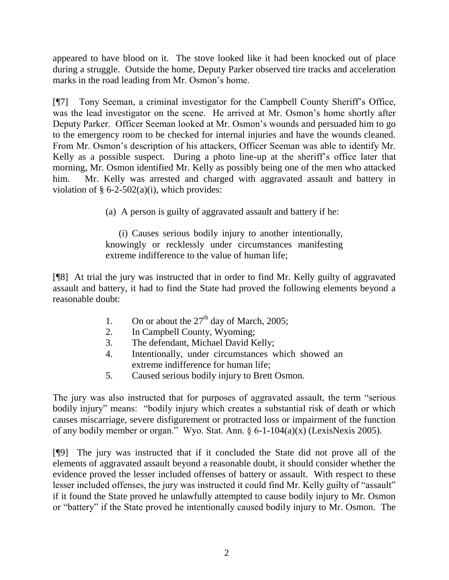appeared to have blood on it. The stove looked like it had been knocked out of place during a struggle. Outside the home, Deputy Parker observed tire tracks and acceleration marks in the road leading from Mr. Osmon's home.

[¶7] Tony Seeman, a criminal investigator for the Campbell County Sheriff"s Office, was the lead investigator on the scene. He arrived at Mr. Osmon"s home shortly after Deputy Parker. Officer Seeman looked at Mr. Osmon"s wounds and persuaded him to go to the emergency room to be checked for internal injuries and have the wounds cleaned. From Mr. Osmon"s description of his attackers, Officer Seeman was able to identify Mr. Kelly as a possible suspect. During a photo line-up at the sheriff"s office later that morning, Mr. Osmon identified Mr. Kelly as possibly being one of the men who attacked him. Mr. Kelly was arrested and charged with aggravated assault and battery in violation of  $\S$  6-2-502(a)(i), which provides:

(a) A person is guilty of aggravated assault and battery if he:

(i) Causes serious bodily injury to another intentionally, knowingly or recklessly under circumstances manifesting extreme indifference to the value of human life;

[¶8] At trial the jury was instructed that in order to find Mr. Kelly guilty of aggravated assault and battery, it had to find the State had proved the following elements beyond a reasonable doubt:

- 1. On or about the  $27<sup>th</sup>$  day of March, 2005;
- 2. In Campbell County, Wyoming;
- 3. The defendant, Michael David Kelly;
- 4. Intentionally, under circumstances which showed an extreme indifference for human life;
- 5. Caused serious bodily injury to Brett Osmon.

The jury was also instructed that for purposes of aggravated assault, the term "serious bodily injury" means: "bodily injury which creates a substantial risk of death or which causes miscarriage, severe disfigurement or protracted loss or impairment of the function of any bodily member or organ." Wyo. Stat. Ann. § 6-1-104(a)(x) (LexisNexis 2005).

[¶9] The jury was instructed that if it concluded the State did not prove all of the elements of aggravated assault beyond a reasonable doubt, it should consider whether the evidence proved the lesser included offenses of battery or assault. With respect to these lesser included offenses, the jury was instructed it could find Mr. Kelly guilty of "assault" if it found the State proved he unlawfully attempted to cause bodily injury to Mr. Osmon or "battery" if the State proved he intentionally caused bodily injury to Mr. Osmon. The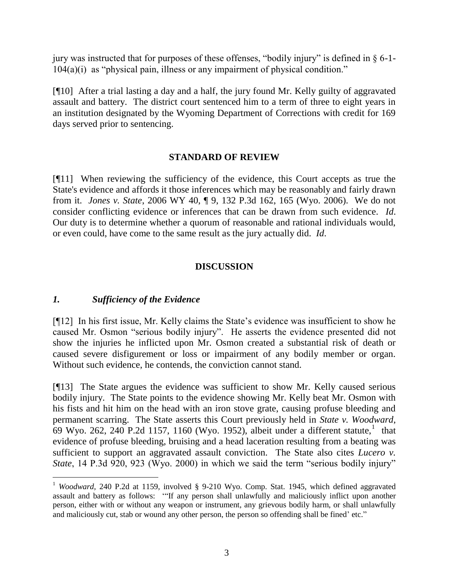jury was instructed that for purposes of these offenses, "bodily injury" is defined in § 6-1- 104(a)(i) as "physical pain, illness or any impairment of physical condition."

[¶10] After a trial lasting a day and a half, the jury found Mr. Kelly guilty of aggravated assault and battery. The district court sentenced him to a term of three to eight years in an institution designated by the Wyoming Department of Corrections with credit for 169 days served prior to sentencing.

### **STANDARD OF REVIEW**

[¶11] When reviewing the sufficiency of the evidence, this Court accepts as true the State's evidence and affords it those inferences which may be reasonably and fairly drawn from it. *Jones v. State*, 2006 WY 40, ¶ 9, 132 P.3d 162, 165 (Wyo. 2006). We do not consider conflicting evidence or inferences that can be drawn from such evidence. *Id*. Our duty is to determine whether a quorum of reasonable and rational individuals would, or even could, have come to the same result as the jury actually did. *Id*.

# **DISCUSSION**

## *1. Sufficiency of the Evidence*

 $\overline{a}$ 

[¶12] In his first issue, Mr. Kelly claims the State"s evidence was insufficient to show he caused Mr. Osmon "serious bodily injury". He asserts the evidence presented did not show the injuries he inflicted upon Mr. Osmon created a substantial risk of death or caused severe disfigurement or loss or impairment of any bodily member or organ. Without such evidence, he contends, the conviction cannot stand.

[¶13] The State argues the evidence was sufficient to show Mr. Kelly caused serious bodily injury. The State points to the evidence showing Mr. Kelly beat Mr. Osmon with his fists and hit him on the head with an iron stove grate, causing profuse bleeding and permanent scarring. The State asserts this Court previously held in *State v. Woodward*, 69 Wyo. 262, 240 P.2d 1157, 1160 (Wyo. 1952), albeit under a different statute,  $\frac{1}{1}$  that evidence of profuse bleeding, bruising and a head laceration resulting from a beating was sufficient to support an aggravated assault conviction. The State also cites *Lucero v. State*, 14 P.3d 920, 923 (Wyo. 2000) in which we said the term "serious bodily injury"

<sup>&</sup>lt;sup>1</sup> *Woodward*, 240 P.2d at 1159, involved § 9-210 Wyo. Comp. Stat. 1945, which defined aggravated assault and battery as follows: ""If any person shall unlawfully and maliciously inflict upon another person, either with or without any weapon or instrument, any grievous bodily harm, or shall unlawfully and maliciously cut, stab or wound any other person, the person so offending shall be fined' etc."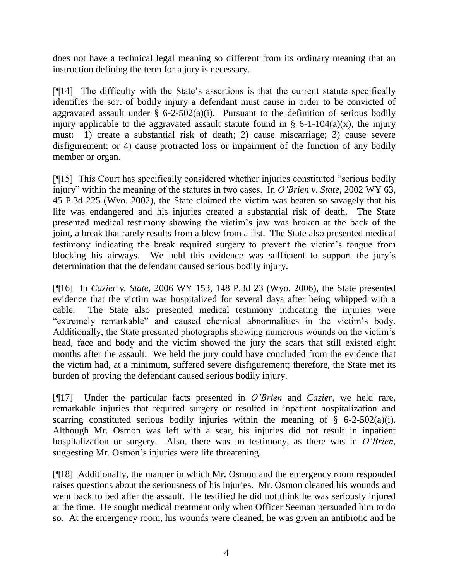does not have a technical legal meaning so different from its ordinary meaning that an instruction defining the term for a jury is necessary.

 $[$ [[14] The difficulty with the State's assertions is that the current statute specifically identifies the sort of bodily injury a defendant must cause in order to be convicted of aggravated assault under  $\S$  6-2-502(a)(i). Pursuant to the definition of serious bodily injury applicable to the aggravated assault statute found in  $\S$  6-1-104(a)(x), the injury must: 1) create a substantial risk of death; 2) cause miscarriage; 3) cause severe disfigurement; or 4) cause protracted loss or impairment of the function of any bodily member or organ.

[¶15] This Court has specifically considered whether injuries constituted "serious bodily injury" within the meaning of the statutes in two cases. In *O'Brien v. State*, 2002 WY 63, 45 P.3d 225 (Wyo. 2002), the State claimed the victim was beaten so savagely that his life was endangered and his injuries created a substantial risk of death. The State presented medical testimony showing the victim"s jaw was broken at the back of the joint, a break that rarely results from a blow from a fist. The State also presented medical testimony indicating the break required surgery to prevent the victim"s tongue from blocking his airways. We held this evidence was sufficient to support the jury's determination that the defendant caused serious bodily injury.

[¶16] In *Cazier v. State*, 2006 WY 153, 148 P.3d 23 (Wyo. 2006), the State presented evidence that the victim was hospitalized for several days after being whipped with a cable. The State also presented medical testimony indicating the injuries were "extremely remarkable" and caused chemical abnormalities in the victim's body. Additionally, the State presented photographs showing numerous wounds on the victim"s head, face and body and the victim showed the jury the scars that still existed eight months after the assault. We held the jury could have concluded from the evidence that the victim had, at a minimum, suffered severe disfigurement; therefore, the State met its burden of proving the defendant caused serious bodily injury.

[¶17] Under the particular facts presented in *O'Brien* and *Cazier*, we held rare, remarkable injuries that required surgery or resulted in inpatient hospitalization and scarring constituted serious bodily injuries within the meaning of  $\S$  6-2-502(a)(i). Although Mr. Osmon was left with a scar, his injuries did not result in inpatient hospitalization or surgery. Also, there was no testimony, as there was in *O'Brien*, suggesting Mr. Osmon's injuries were life threatening.

[¶18] Additionally, the manner in which Mr. Osmon and the emergency room responded raises questions about the seriousness of his injuries. Mr. Osmon cleaned his wounds and went back to bed after the assault. He testified he did not think he was seriously injured at the time. He sought medical treatment only when Officer Seeman persuaded him to do so. At the emergency room, his wounds were cleaned, he was given an antibiotic and he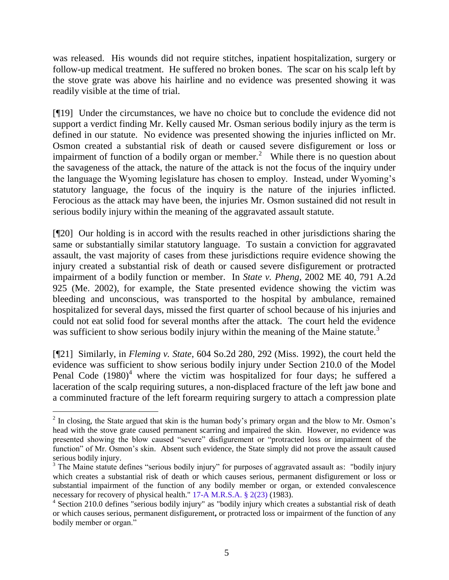was released. His wounds did not require stitches, inpatient hospitalization, surgery or follow-up medical treatment. He suffered no broken bones. The scar on his scalp left by the stove grate was above his hairline and no evidence was presented showing it was readily visible at the time of trial.

[¶19] Under the circumstances, we have no choice but to conclude the evidence did not support a verdict finding Mr. Kelly caused Mr. Osman serious bodily injury as the term is defined in our statute. No evidence was presented showing the injuries inflicted on Mr. Osmon created a substantial risk of death or caused severe disfigurement or loss or impairment of function of a bodily organ or member.<sup>2</sup> While there is no question about the savageness of the attack, the nature of the attack is not the focus of the inquiry under the language the Wyoming legislature has chosen to employ. Instead, under Wyoming"s statutory language, the focus of the inquiry is the nature of the injuries inflicted. Ferocious as the attack may have been, the injuries Mr. Osmon sustained did not result in serious bodily injury within the meaning of the aggravated assault statute.

[¶20] Our holding is in accord with the results reached in other jurisdictions sharing the same or substantially similar statutory language. To sustain a conviction for aggravated assault, the vast majority of cases from these jurisdictions require evidence showing the injury created a substantial risk of death or caused severe disfigurement or protracted impairment of a bodily function or member. In *State v. Pheng*, 2002 ME 40, 791 A.2d 925 (Me. 2002), for example, the State presented evidence showing the victim was bleeding and unconscious, was transported to the hospital by ambulance, remained hospitalized for several days, missed the first quarter of school because of his injuries and could not eat solid food for several months after the attack. The court held the evidence was sufficient to show serious bodily injury within the meaning of the Maine statute.<sup>3</sup>

[¶21] Similarly, in *Fleming v. State*, 604 So.2d 280, 292 (Miss. 1992), the court held the evidence was sufficient to show serious bodily injury under Section 210.0 of the Model Penal Code  $(1980)^4$  where the victim was hospitalized for four days; he suffered a laceration of the scalp requiring sutures, a non-displaced fracture of the left jaw bone and a comminuted fracture of the left forearm requiring surgery to attach a compression plate

 $2 \text{ In closing, the State argued that skin is the human body's primary organ and the blow to Mr. Osman's }$ head with the stove grate caused permanent scarring and impaired the skin. However, no evidence was presented showing the blow caused "severe" disfigurement or "protracted loss or impairment of the function" of Mr. Osmon's skin. Absent such evidence, the State simply did not prove the assault caused serious bodily injury.

<sup>&</sup>lt;sup>3</sup> The Maine statute defines "serious bodily injury" for purposes of aggravated assault as: "bodily injury which creates a substantial risk of death or which causes serious, permanent disfigurement or loss or substantial impairment of the function of any bodily member or organ, or extended convalescence necessary for recovery of physical health." [17-A M.R.S.A. § 2\(23\)](http://www.lexis.com/research/buttonTFLink?_m=a82de6e4d191991905da42aa706d8ccd&_xfercite=%3ccite%20cc%3d%22USA%22%3e%3c%21%5bCDATA%5b2002%20ME%2040%5d%5d%3e%3c%2fcite%3e&_butType=4&_butStat=0&_butNum=10&_butInline=1&_butinfo=17-A%20MECODE%202&_fmtstr=FULL&docnum=13&_startdoc=11&wchp=dGLzVzz-zSkAB&_md5=8e4ccf6c97649b057bfbaa4aedf04363) (1983).

<sup>&</sup>lt;sup>4</sup> Section 210.0 defines "serious bodily injury" as "bodily injury which creates a substantial risk of death or which causes serious, permanent disfigurement**,** or protracted loss or impairment of the function of any bodily member or organ."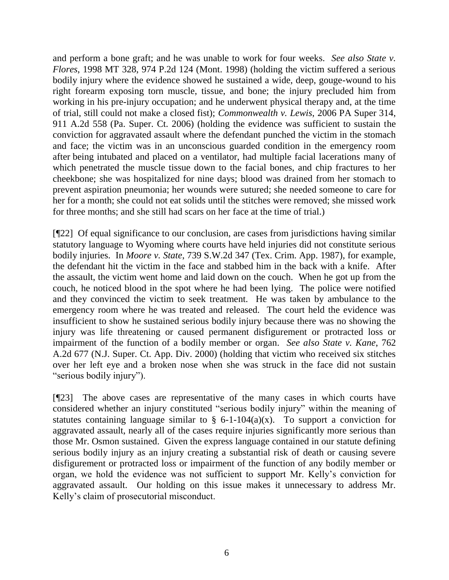and perform a bone graft; and he was unable to work for four weeks. *See also State v. Flores*, 1998 MT 328, 974 P.2d 124 (Mont. 1998) (holding the victim suffered a serious bodily injury where the evidence showed he sustained a wide, deep, gouge-wound to his right forearm exposing torn muscle, tissue, and bone; the injury precluded him from working in his pre-injury occupation; and he underwent physical therapy and, at the time of trial, still could not make a closed fist); *Commonwealth v. Lewis*, 2006 PA Super 314, 911 A.2d 558 (Pa. Super. Ct. 2006) (holding the evidence was sufficient to sustain the conviction for aggravated assault where the defendant punched the victim in the stomach and face; the victim was in an unconscious guarded condition in the emergency room after being intubated and placed on a ventilator, had multiple facial lacerations many of which penetrated the muscle tissue down to the facial bones, and chip fractures to her cheekbone; she was hospitalized for nine days; blood was drained from her stomach to prevent aspiration pneumonia; her wounds were sutured; she needed someone to care for her for a month; she could not eat solids until the stitches were removed; she missed work for three months; and she still had scars on her face at the time of trial.)

[¶22] Of equal significance to our conclusion, are cases from jurisdictions having similar statutory language to Wyoming where courts have held injuries did not constitute serious bodily injuries. In *Moore v. State*, 739 S.W.2d 347 (Tex. Crim. App. 1987), for example, the defendant hit the victim in the face and stabbed him in the back with a knife. After the assault, the victim went home and laid down on the couch. When he got up from the couch, he noticed blood in the spot where he had been lying. The police were notified and they convinced the victim to seek treatment. He was taken by ambulance to the emergency room where he was treated and released. The court held the evidence was insufficient to show he sustained serious bodily injury because there was no showing the injury was life threatening or caused permanent disfigurement or protracted loss or impairment of the function of a bodily member or organ. *See also State v. Kane*, 762 A.2d 677 (N.J. Super. Ct. App. Div. 2000) (holding that victim who received six stitches over her left eye and a broken nose when she was struck in the face did not sustain "serious bodily injury").

[¶23] The above cases are representative of the many cases in which courts have considered whether an injury constituted "serious bodily injury" within the meaning of statutes containing language similar to  $\S$  6-1-104(a)(x). To support a conviction for aggravated assault, nearly all of the cases require injuries significantly more serious than those Mr. Osmon sustained. Given the express language contained in our statute defining serious bodily injury as an injury creating a substantial risk of death or causing severe disfigurement or protracted loss or impairment of the function of any bodily member or organ, we hold the evidence was not sufficient to support Mr. Kelly"s conviction for aggravated assault. Our holding on this issue makes it unnecessary to address Mr. Kelly"s claim of prosecutorial misconduct.